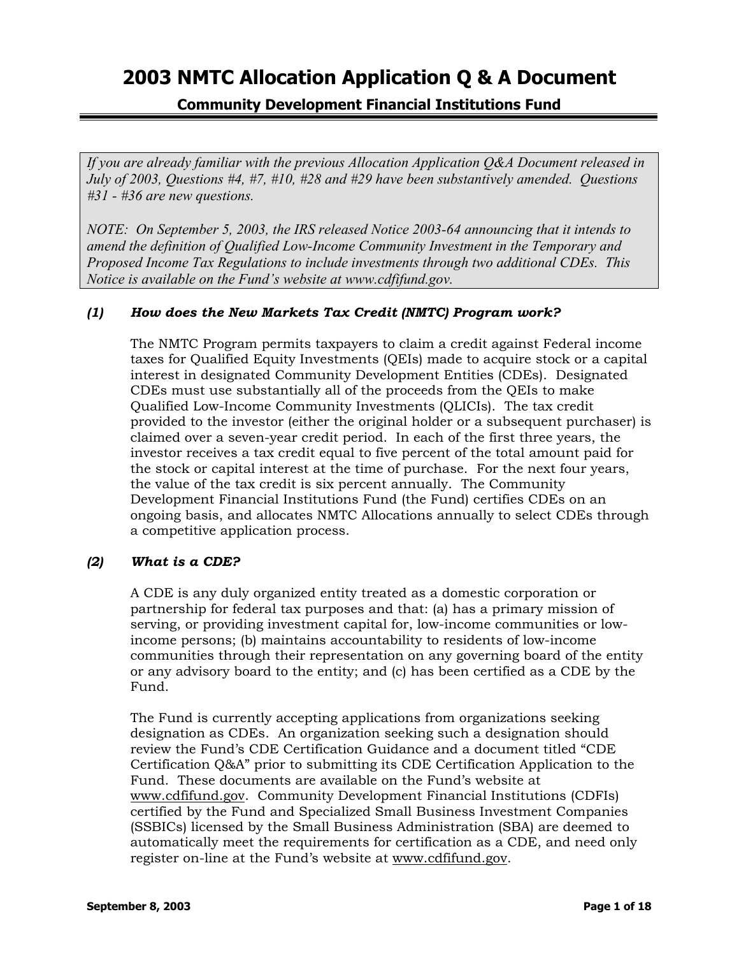**Community Development Financial Institutions Fund** 

*If you are already familiar with the previous Allocation Application Q&A Document released in July of 2003, Questions #4, #7, #10, #28 and #29 have been substantively amended. Questions #31 - #36 are new questions.*

*NOTE: On September 5, 2003, the IRS released Notice 2003-64 announcing that it intends to amend the definition of Qualified Low-Income Community Investment in the Temporary and Proposed Income Tax Regulations to include investments through two additional CDEs. This Notice is available on the Fund's website at www.cdfifund.gov.* 

## *(1) How does the New Markets Tax Credit (NMTC) Program work?*

The NMTC Program permits taxpayers to claim a credit against Federal income taxes for Qualified Equity Investments (QEIs) made to acquire stock or a capital interest in designated Community Development Entities (CDEs). Designated CDEs must use substantially all of the proceeds from the QEIs to make Qualified Low-Income Community Investments (QLICIs). The tax credit provided to the investor (either the original holder or a subsequent purchaser) is claimed over a seven-year credit period. In each of the first three years, the investor receives a tax credit equal to five percent of the total amount paid for the stock or capital interest at the time of purchase. For the next four years, the value of the tax credit is six percent annually. The Community Development Financial Institutions Fund (the Fund) certifies CDEs on an ongoing basis, and allocates NMTC Allocations annually to select CDEs through a competitive application process.

### *(2) What is a CDE?*

A CDE is any duly organized entity treated as a domestic corporation or partnership for federal tax purposes and that: (a) has a primary mission of serving, or providing investment capital for, low-income communities or lowincome persons; (b) maintains accountability to residents of low-income communities through their representation on any governing board of the entity or any advisory board to the entity; and (c) has been certified as a CDE by the Fund.

The Fund is currently accepting applications from organizations seeking designation as CDEs. An organization seeking such a designation should review the Fund's CDE Certification Guidance and a document titled "CDE Certification Q&A" prior to submitting its CDE Certification Application to the Fund. These documents are available on the Fund's website at [www.cdfifund.gov.](http://www.cdfifund.gov/) Community Development Financial Institutions (CDFIs) certified by the Fund and Specialized Small Business Investment Companies (SSBICs) licensed by the Small Business Administration (SBA) are deemed to automatically meet the requirements for certification as a CDE, and need only register on-line at the Fund's website at [www.cdfifund.gov](http://www.cdfifund.gov/).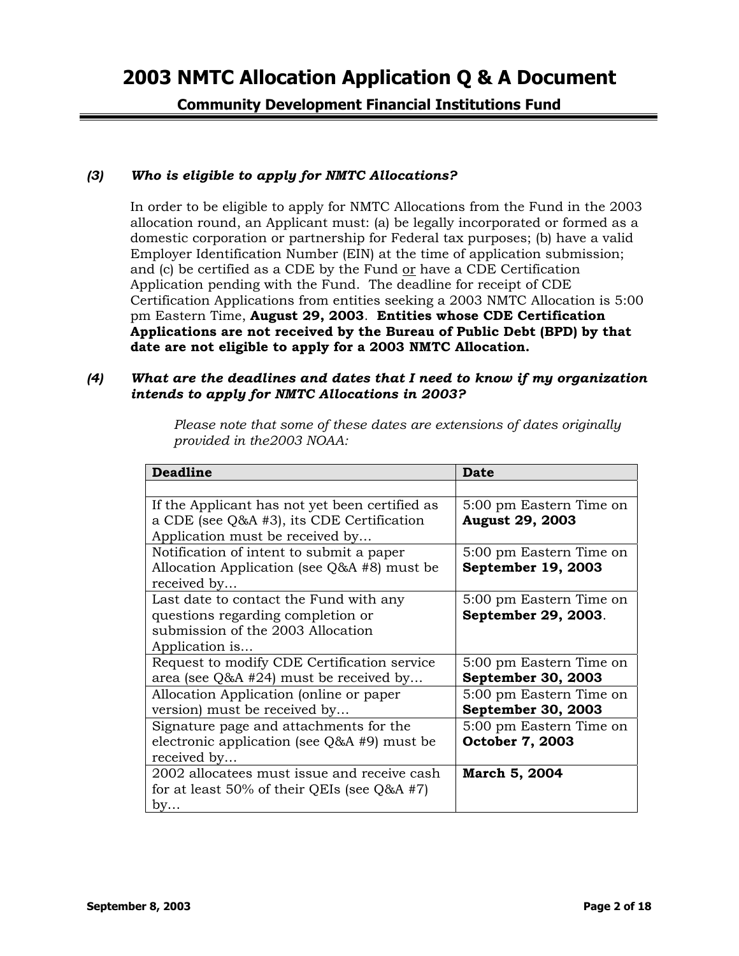**Community Development Financial Institutions Fund** 

## *(3) Who is eligible to apply for NMTC Allocations?*

In order to be eligible to apply for NMTC Allocations from the Fund in the 2003 allocation round, an Applicant must: (a) be legally incorporated or formed as a domestic corporation or partnership for Federal tax purposes; (b) have a valid Employer Identification Number (EIN) at the time of application submission; and (c) be certified as a CDE by the Fund or have a CDE Certification Application pending with the Fund. The deadline for receipt of CDE Certification Applications from entities seeking a 2003 NMTC Allocation is 5:00 pm Eastern Time, **August 29, 2003**. **Entities whose CDE Certification Applications are not received by the Bureau of Public Debt (BPD) by that date are not eligible to apply for a 2003 NMTC Allocation.**

#### *(4) What are the deadlines and dates that I need to know if my organization intends to apply for NMTC Allocations in 2003?*

*Please note that some of these dates are extensions of dates originally provided in the2003 NOAA:*

| <b>Deadline</b>                                | Date                       |
|------------------------------------------------|----------------------------|
|                                                |                            |
| If the Applicant has not yet been certified as | 5:00 pm Eastern Time on    |
| a CDE (see Q&A #3), its CDE Certification      | <b>August 29, 2003</b>     |
| Application must be received by                |                            |
| Notification of intent to submit a paper       | 5:00 pm Eastern Time on    |
| Allocation Application (see $Q&A$ #8) must be  | <b>September 19, 2003</b>  |
| received by                                    |                            |
| Last date to contact the Fund with any         | 5:00 pm Eastern Time on    |
| questions regarding completion or              | <b>September 29, 2003.</b> |
| submission of the 2003 Allocation              |                            |
| Application is                                 |                            |
| Request to modify CDE Certification service    | 5:00 pm Eastern Time on    |
| area (see $Q&AA$ #24) must be received by      | September 30, 2003         |
| Allocation Application (online or paper        | 5:00 pm Eastern Time on    |
| version) must be received by                   | <b>September 30, 2003</b>  |
| Signature page and attachments for the         | 5:00 pm Eastern Time on    |
| electronic application (see $Q&A$ #9) must be  | <b>October 7, 2003</b>     |
| received by                                    |                            |
| 2002 allocatees must issue and receive cash    | March 5, 2004              |
| for at least 50% of their QEIs (see $Q&AA$ #7) |                            |
| by                                             |                            |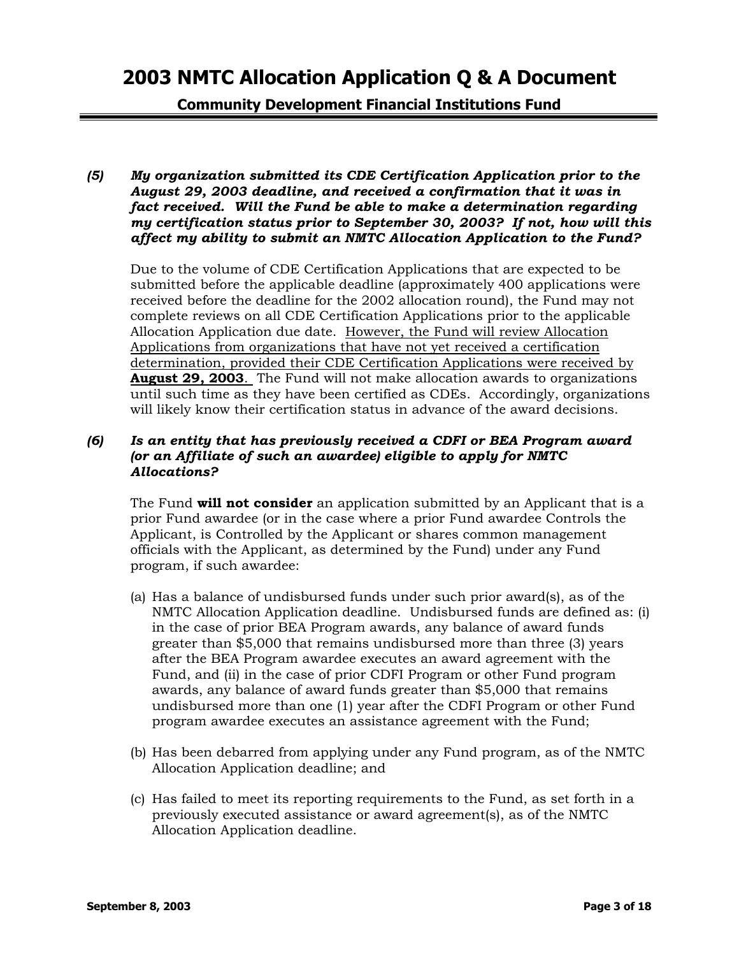**Community Development Financial Institutions Fund** 

*(5) My organization submitted its CDE Certification Application prior to the August 29, 2003 deadline, and received a confirmation that it was in fact received. Will the Fund be able to make a determination regarding my certification status prior to September 30, 2003? If not, how will this affect my ability to submit an NMTC Allocation Application to the Fund?*

Due to the volume of CDE Certification Applications that are expected to be submitted before the applicable deadline (approximately 400 applications were received before the deadline for the 2002 allocation round), the Fund may not complete reviews on all CDE Certification Applications prior to the applicable Allocation Application due date. However, the Fund will review Allocation Applications from organizations that have not yet received a certification determination, provided their CDE Certification Applications were received by **August 29, 2003**. The Fund will not make allocation awards to organizations until such time as they have been certified as CDEs. Accordingly, organizations will likely know their certification status in advance of the award decisions.

### *(6) Is an entity that has previously received a CDFI or BEA Program award (or an Affiliate of such an awardee) eligible to apply for NMTC Allocations?*

The Fund **will not consider** an application submitted by an Applicant that is a prior Fund awardee (or in the case where a prior Fund awardee Controls the Applicant, is Controlled by the Applicant or shares common management officials with the Applicant, as determined by the Fund) under any Fund program, if such awardee:

- (a) Has a balance of undisbursed funds under such prior award(s), as of the NMTC Allocation Application deadline. Undisbursed funds are defined as: (i) in the case of prior BEA Program awards, any balance of award funds greater than \$5,000 that remains undisbursed more than three (3) years after the BEA Program awardee executes an award agreement with the Fund, and (ii) in the case of prior CDFI Program or other Fund program awards, any balance of award funds greater than \$5,000 that remains undisbursed more than one (1) year after the CDFI Program or other Fund program awardee executes an assistance agreement with the Fund;
- (b) Has been debarred from applying under any Fund program, as of the NMTC Allocation Application deadline; and
- (c) Has failed to meet its reporting requirements to the Fund, as set forth in a previously executed assistance or award agreement(s), as of the NMTC Allocation Application deadline.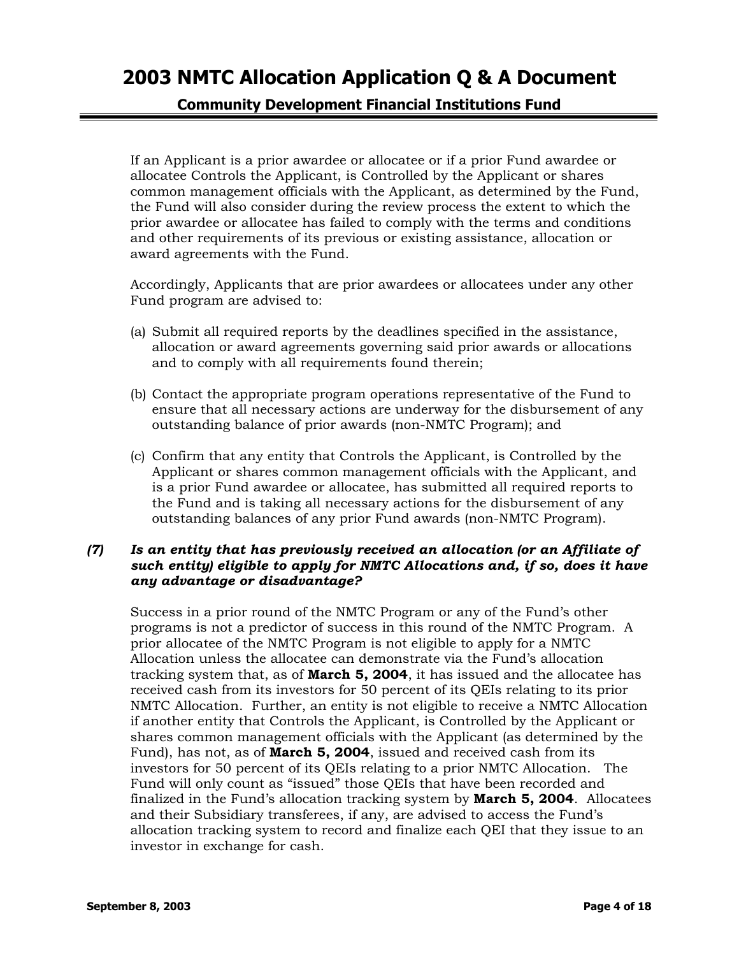**Community Development Financial Institutions Fund** 

If an Applicant is a prior awardee or allocatee or if a prior Fund awardee or allocatee Controls the Applicant, is Controlled by the Applicant or shares common management officials with the Applicant, as determined by the Fund, the Fund will also consider during the review process the extent to which the prior awardee or allocatee has failed to comply with the terms and conditions and other requirements of its previous or existing assistance, allocation or award agreements with the Fund.

Accordingly, Applicants that are prior awardees or allocatees under any other Fund program are advised to:

- (a) Submit all required reports by the deadlines specified in the assistance, allocation or award agreements governing said prior awards or allocations and to comply with all requirements found therein;
- (b) Contact the appropriate program operations representative of the Fund to ensure that all necessary actions are underway for the disbursement of any outstanding balance of prior awards (non-NMTC Program); and
- (c) Confirm that any entity that Controls the Applicant, is Controlled by the Applicant or shares common management officials with the Applicant, and is a prior Fund awardee or allocatee, has submitted all required reports to the Fund and is taking all necessary actions for the disbursement of any outstanding balances of any prior Fund awards (non-NMTC Program).

### *(7) Is an entity that has previously received an allocation (or an Affiliate of such entity) eligible to apply for NMTC Allocations and, if so, does it have any advantage or disadvantage?*

Success in a prior round of the NMTC Program or any of the Fund's other programs is not a predictor of success in this round of the NMTC Program. A prior allocatee of the NMTC Program is not eligible to apply for a NMTC Allocation unless the allocatee can demonstrate via the Fund's allocation tracking system that, as of **March 5, 2004**, it has issued and the allocatee has received cash from its investors for 50 percent of its QEIs relating to its prior NMTC Allocation. Further, an entity is not eligible to receive a NMTC Allocation if another entity that Controls the Applicant, is Controlled by the Applicant or shares common management officials with the Applicant (as determined by the Fund), has not, as of **March 5, 2004**, issued and received cash from its investors for 50 percent of its QEIs relating to a prior NMTC Allocation. The Fund will only count as "issued" those QEIs that have been recorded and finalized in the Fund's allocation tracking system by **March 5, 2004**. Allocatees and their Subsidiary transferees, if any, are advised to access the Fund's allocation tracking system to record and finalize each QEI that they issue to an investor in exchange for cash.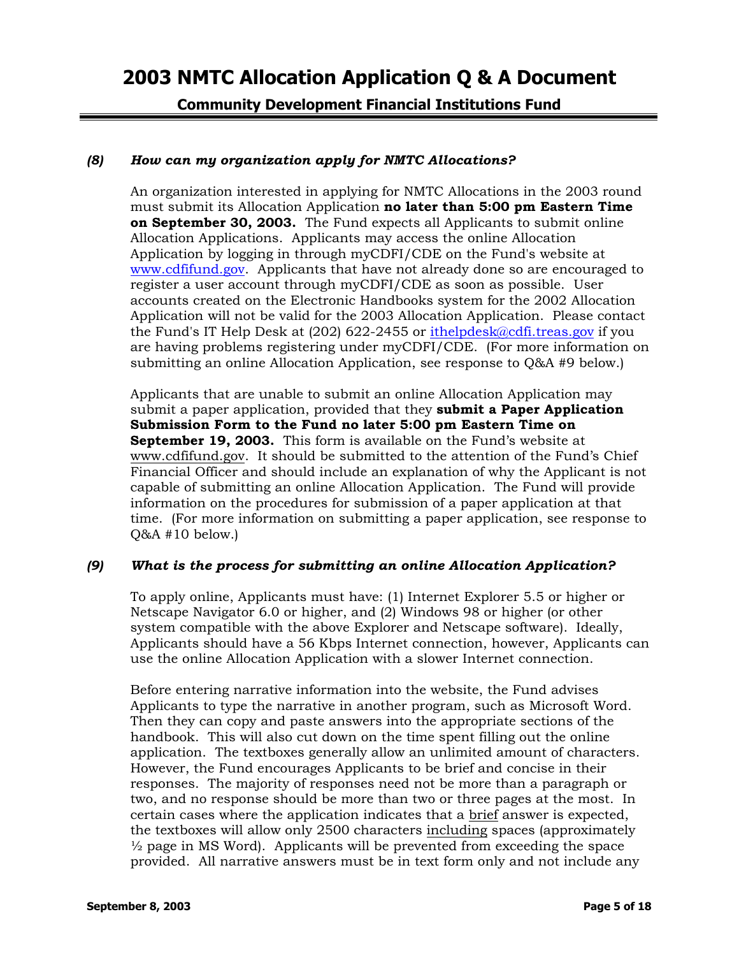**Community Development Financial Institutions Fund** 

### *(8) How can my organization apply for NMTC Allocations?*

An organization interested in applying for NMTC Allocations in the 2003 round must submit its Allocation Application **no later than 5:00 pm Eastern Time on September 30, 2003.** The Fund expects all Applicants to submit online Allocation Applications. Applicants may access the online Allocation Application by logging in through myCDFI/CDE on the Fund's website at [www.cdfifund.gov.](http://www.cdfifund.gov/) Applicants that have not already done so are encouraged to register a user account through myCDFI/CDE as soon as possible. User accounts created on the Electronic Handbooks system for the 2002 Allocation Application will not be valid for the 2003 Allocation Application. Please contact the Fund's IT Help Desk at (202) 622-2455 or [ithelpdesk@cdfi.treas.gov](mailto:ithelpdesk@cdfi.treas.gov) if you are having problems registering under myCDFI/CDE. (For more information on submitting an online Allocation Application, see response to Q&A #9 below.)

Applicants that are unable to submit an online Allocation Application may submit a paper application, provided that they **submit a Paper Application Submission Form to the Fund no later 5:00 pm Eastern Time on September 19, 2003.** This form is available on the Fund's website at [www.cdfifund.gov.](http://www.cdfifund.gov/) It should be submitted to the attention of the Fund's Chief Financial Officer and should include an explanation of why the Applicant is not capable of submitting an online Allocation Application. The Fund will provide information on the procedures for submission of a paper application at that time. (For more information on submitting a paper application, see response to Q&A #10 below.)

#### *(9) What is the process for submitting an online Allocation Application?*

To apply online, Applicants must have: (1) Internet Explorer 5.5 or higher or Netscape Navigator 6.0 or higher, and (2) Windows 98 or higher (or other system compatible with the above Explorer and Netscape software). Ideally, Applicants should have a 56 Kbps Internet connection, however, Applicants can use the online Allocation Application with a slower Internet connection.

Before entering narrative information into the website, the Fund advises Applicants to type the narrative in another program, such as Microsoft Word. Then they can copy and paste answers into the appropriate sections of the handbook. This will also cut down on the time spent filling out the online application. The textboxes generally allow an unlimited amount of characters. However, the Fund encourages Applicants to be brief and concise in their responses. The majority of responses need not be more than a paragraph or two, and no response should be more than two or three pages at the most. In certain cases where the application indicates that a brief answer is expected, the textboxes will allow only 2500 characters including spaces (approximately  $\frac{1}{2}$  page in MS Word). Applicants will be prevented from exceeding the space provided. All narrative answers must be in text form only and not include any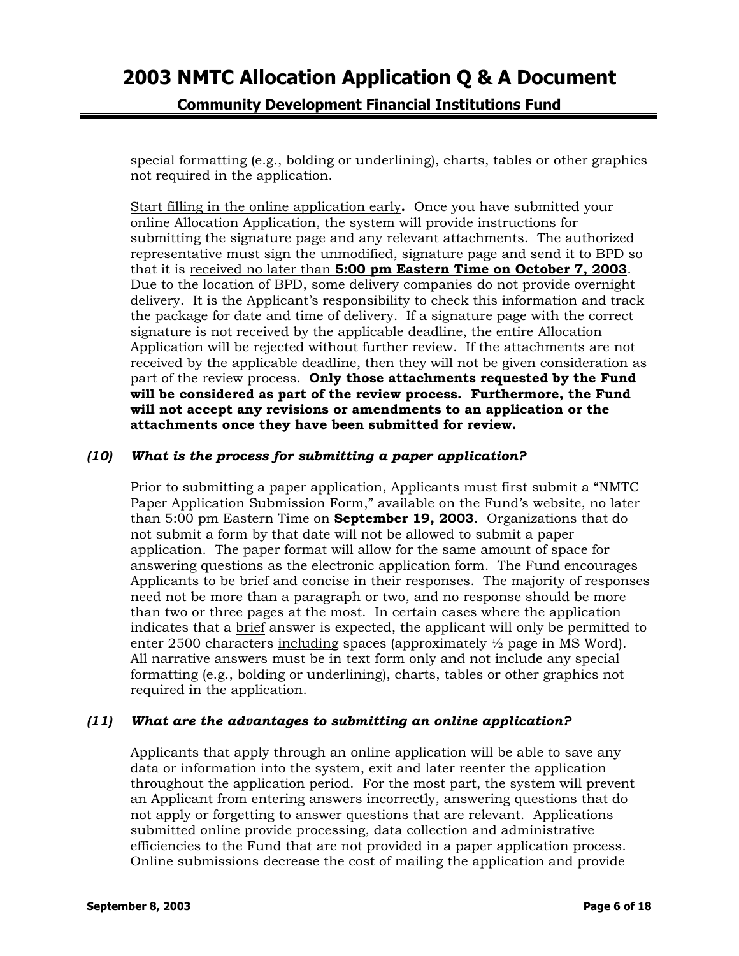**Community Development Financial Institutions Fund** 

special formatting (e.g., bolding or underlining), charts, tables or other graphics not required in the application.

Start filling in the online application early**.** Once you have submitted your online Allocation Application, the system will provide instructions for submitting the signature page and any relevant attachments. The authorized representative must sign the unmodified, signature page and send it to BPD so that it is received no later than **5:00 pm Eastern Time on October 7, 2003**. Due to the location of BPD, some delivery companies do not provide overnight delivery. It is the Applicant's responsibility to check this information and track the package for date and time of delivery. If a signature page with the correct signature is not received by the applicable deadline, the entire Allocation Application will be rejected without further review. If the attachments are not received by the applicable deadline, then they will not be given consideration as part of the review process. **Only those attachments requested by the Fund will be considered as part of the review process. Furthermore, the Fund will not accept any revisions or amendments to an application or the attachments once they have been submitted for review.**

### *(10) What is the process for submitting a paper application?*

Prior to submitting a paper application, Applicants must first submit a "NMTC Paper Application Submission Form," available on the Fund's website, no later than 5:00 pm Eastern Time on **September 19, 2003**. Organizations that do not submit a form by that date will not be allowed to submit a paper application. The paper format will allow for the same amount of space for answering questions as the electronic application form. The Fund encourages Applicants to be brief and concise in their responses. The majority of responses need not be more than a paragraph or two, and no response should be more than two or three pages at the most. In certain cases where the application indicates that a brief answer is expected, the applicant will only be permitted to enter 2500 characters including spaces (approximately  $\frac{1}{2}$  page in MS Word). All narrative answers must be in text form only and not include any special formatting (e.g., bolding or underlining), charts, tables or other graphics not required in the application.

#### *(11) What are the advantages to submitting an online application?*

Applicants that apply through an online application will be able to save any data or information into the system, exit and later reenter the application throughout the application period. For the most part, the system will prevent an Applicant from entering answers incorrectly, answering questions that do not apply or forgetting to answer questions that are relevant. Applications submitted online provide processing, data collection and administrative efficiencies to the Fund that are not provided in a paper application process. Online submissions decrease the cost of mailing the application and provide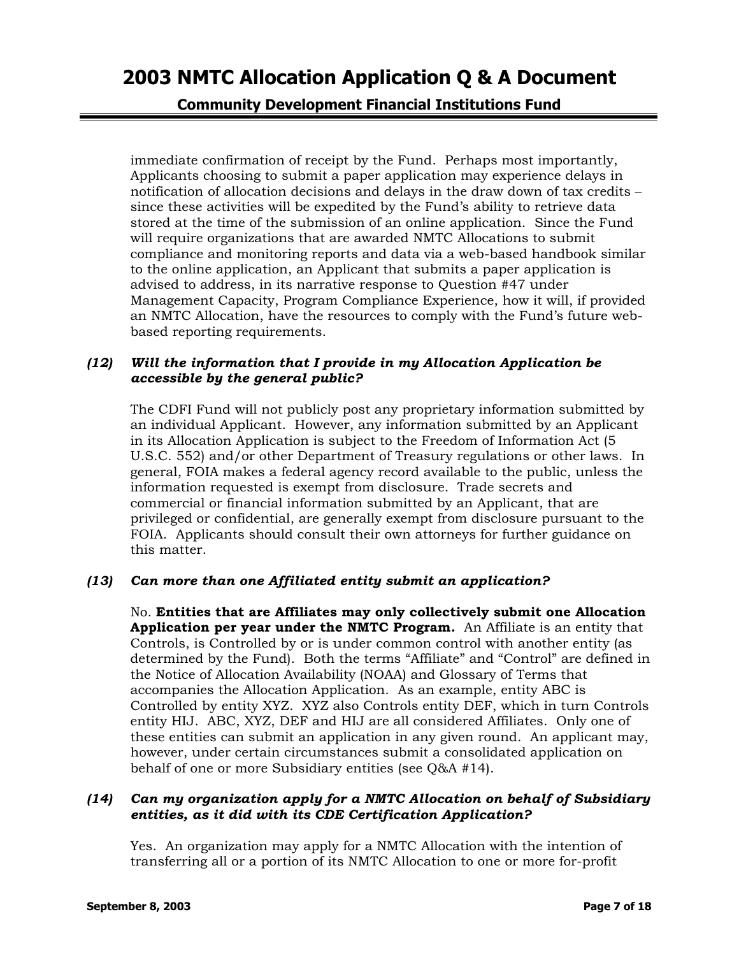**Community Development Financial Institutions Fund** 

immediate confirmation of receipt by the Fund. Perhaps most importantly, Applicants choosing to submit a paper application may experience delays in notification of allocation decisions and delays in the draw down of tax credits – since these activities will be expedited by the Fund's ability to retrieve data stored at the time of the submission of an online application. Since the Fund will require organizations that are awarded NMTC Allocations to submit compliance and monitoring reports and data via a web-based handbook similar to the online application, an Applicant that submits a paper application is advised to address, in its narrative response to Question #47 under Management Capacity, Program Compliance Experience, how it will, if provided an NMTC Allocation, have the resources to comply with the Fund's future webbased reporting requirements.

### *(12) Will the information that I provide in my Allocation Application be accessible by the general public?*

The CDFI Fund will not publicly post any proprietary information submitted by an individual Applicant. However, any information submitted by an Applicant in its Allocation Application is subject to the Freedom of Information Act (5 U.S.C. 552) and/or other Department of Treasury regulations or other laws. In general, FOIA makes a federal agency record available to the public, unless the information requested is exempt from disclosure. Trade secrets and commercial or financial information submitted by an Applicant, that are privileged or confidential, are generally exempt from disclosure pursuant to the FOIA. Applicants should consult their own attorneys for further guidance on this matter.

### *(13) Can more than one Affiliated entity submit an application?*

No. **Entities that are Affiliates may only collectively submit one Allocation Application per year under the NMTC Program.** An Affiliate is an entity that Controls, is Controlled by or is under common control with another entity (as determined by the Fund). Both the terms "Affiliate" and "Control" are defined in the Notice of Allocation Availability (NOAA) and Glossary of Terms that accompanies the Allocation Application. As an example, entity ABC is Controlled by entity XYZ. XYZ also Controls entity DEF, which in turn Controls entity HIJ. ABC, XYZ, DEF and HIJ are all considered Affiliates. Only one of these entities can submit an application in any given round. An applicant may, however, under certain circumstances submit a consolidated application on behalf of one or more Subsidiary entities (see Q&A #14).

#### *(14) Can my organization apply for a NMTC Allocation on behalf of Subsidiary entities, as it did with its CDE Certification Application?*

Yes. An organization may apply for a NMTC Allocation with the intention of transferring all or a portion of its NMTC Allocation to one or more for-profit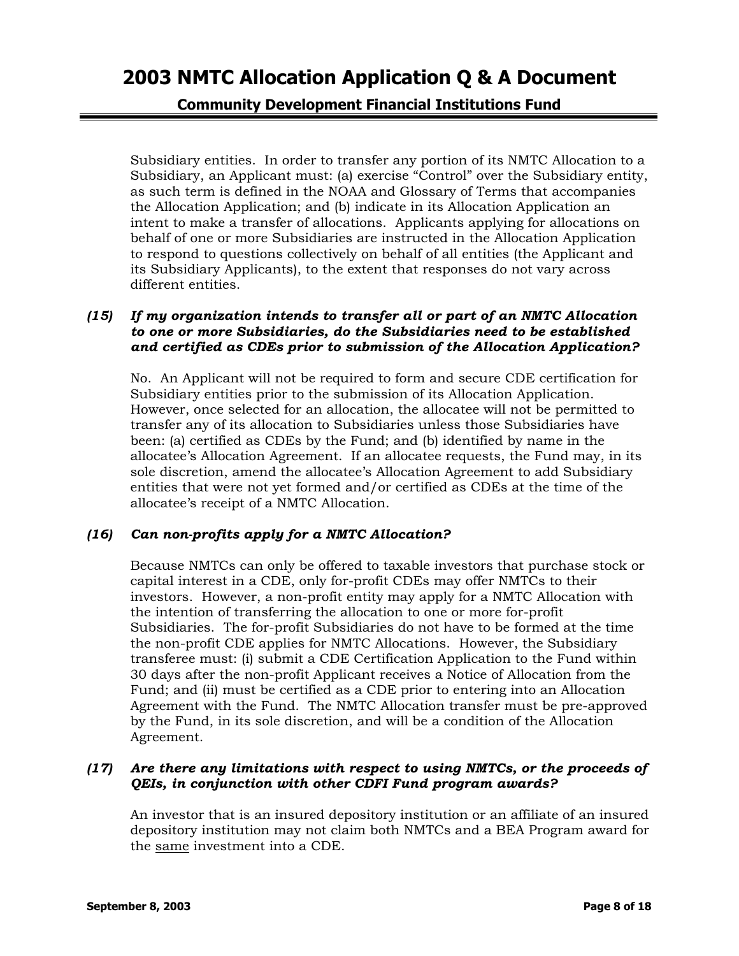**Community Development Financial Institutions Fund** 

Subsidiary entities. In order to transfer any portion of its NMTC Allocation to a Subsidiary, an Applicant must: (a) exercise "Control" over the Subsidiary entity, as such term is defined in the NOAA and Glossary of Terms that accompanies the Allocation Application; and (b) indicate in its Allocation Application an intent to make a transfer of allocations. Applicants applying for allocations on behalf of one or more Subsidiaries are instructed in the Allocation Application to respond to questions collectively on behalf of all entities (the Applicant and its Subsidiary Applicants), to the extent that responses do not vary across different entities.

### *(15) If my organization intends to transfer all or part of an NMTC Allocation to one or more Subsidiaries, do the Subsidiaries need to be established and certified as CDEs prior to submission of the Allocation Application?*

No. An Applicant will not be required to form and secure CDE certification for Subsidiary entities prior to the submission of its Allocation Application. However, once selected for an allocation, the allocatee will not be permitted to transfer any of its allocation to Subsidiaries unless those Subsidiaries have been: (a) certified as CDEs by the Fund; and (b) identified by name in the allocatee's Allocation Agreement. If an allocatee requests, the Fund may, in its sole discretion, amend the allocatee's Allocation Agreement to add Subsidiary entities that were not yet formed and/or certified as CDEs at the time of the allocatee's receipt of a NMTC Allocation.

### *(16) Can non-profits apply for a NMTC Allocation?*

Because NMTCs can only be offered to taxable investors that purchase stock or capital interest in a CDE, only for-profit CDEs may offer NMTCs to their investors. However, a non-profit entity may apply for a NMTC Allocation with the intention of transferring the allocation to one or more for-profit Subsidiaries. The for-profit Subsidiaries do not have to be formed at the time the non-profit CDE applies for NMTC Allocations. However, the Subsidiary transferee must: (i) submit a CDE Certification Application to the Fund within 30 days after the non-profit Applicant receives a Notice of Allocation from the Fund; and (ii) must be certified as a CDE prior to entering into an Allocation Agreement with the Fund. The NMTC Allocation transfer must be pre-approved by the Fund, in its sole discretion, and will be a condition of the Allocation Agreement.

### *(17) Are there any limitations with respect to using NMTCs, or the proceeds of QEIs, in conjunction with other CDFI Fund program awards?*

An investor that is an insured depository institution or an affiliate of an insured depository institution may not claim both NMTCs and a BEA Program award for the same investment into a CDE.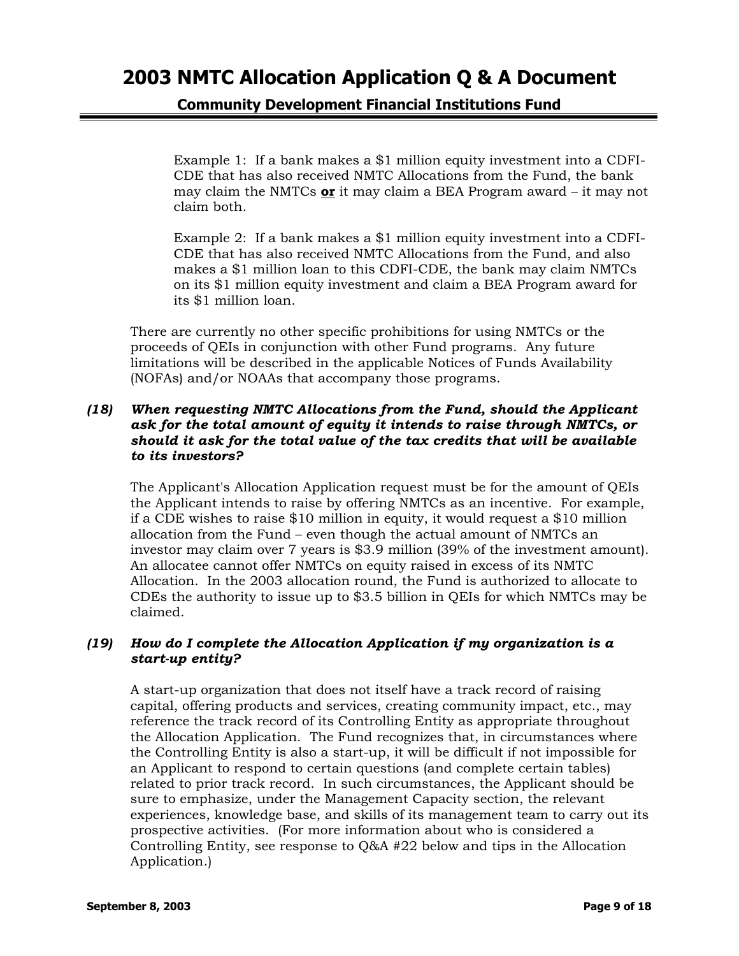**Community Development Financial Institutions Fund** 

Example 1: If a bank makes a \$1 million equity investment into a CDFI-CDE that has also received NMTC Allocations from the Fund, the bank may claim the NMTCs **or** it may claim a BEA Program award – it may not claim both.

Example 2: If a bank makes a \$1 million equity investment into a CDFI-CDE that has also received NMTC Allocations from the Fund, and also makes a \$1 million loan to this CDFI-CDE, the bank may claim NMTCs on its \$1 million equity investment and claim a BEA Program award for its \$1 million loan.

There are currently no other specific prohibitions for using NMTCs or the proceeds of QEIs in conjunction with other Fund programs. Any future limitations will be described in the applicable Notices of Funds Availability (NOFAs) and/or NOAAs that accompany those programs.

### *(18) When requesting NMTC Allocations from the Fund, should the Applicant ask for the total amount of equity it intends to raise through NMTCs, or should it ask for the total value of the tax credits that will be available to its investors?*

The Applicant's Allocation Application request must be for the amount of QEIs the Applicant intends to raise by offering NMTCs as an incentive. For example, if a CDE wishes to raise \$10 million in equity, it would request a \$10 million allocation from the Fund – even though the actual amount of NMTCs an investor may claim over 7 years is \$3.9 million (39% of the investment amount). An allocatee cannot offer NMTCs on equity raised in excess of its NMTC Allocation. In the 2003 allocation round, the Fund is authorized to allocate to CDEs the authority to issue up to \$3.5 billion in QEIs for which NMTCs may be claimed.

### *(19) How do I complete the Allocation Application if my organization is a start-up entity?*

A start-up organization that does not itself have a track record of raising capital, offering products and services, creating community impact, etc., may reference the track record of its Controlling Entity as appropriate throughout the Allocation Application. The Fund recognizes that, in circumstances where the Controlling Entity is also a start-up, it will be difficult if not impossible for an Applicant to respond to certain questions (and complete certain tables) related to prior track record. In such circumstances, the Applicant should be sure to emphasize, under the Management Capacity section, the relevant experiences, knowledge base, and skills of its management team to carry out its prospective activities. (For more information about who is considered a Controlling Entity, see response to Q&A #22 below and tips in the Allocation Application.)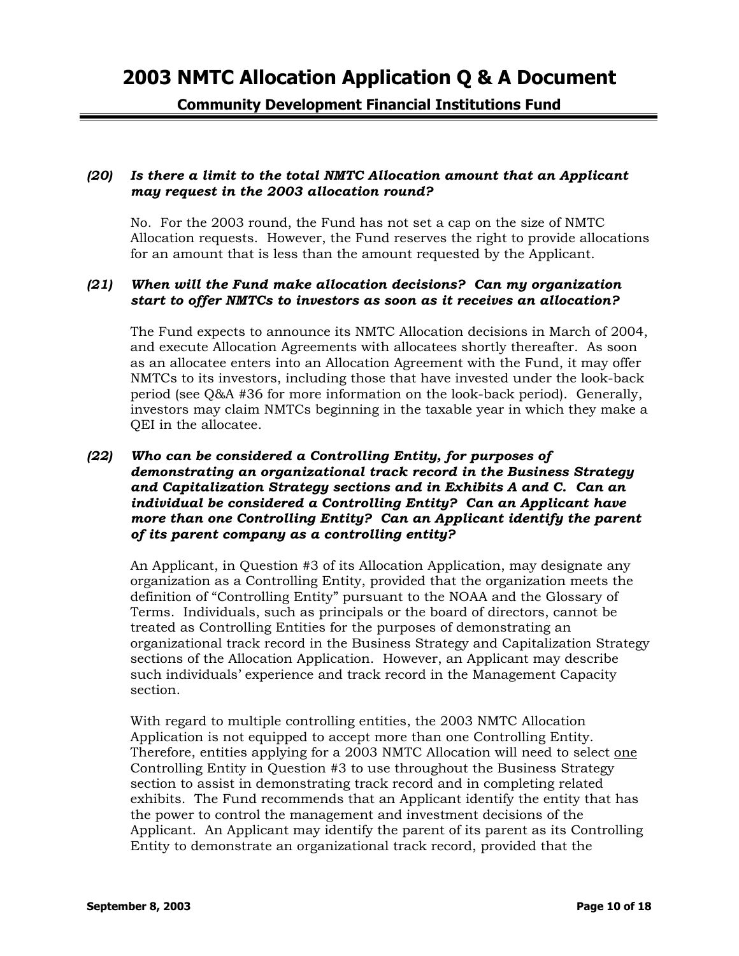**Community Development Financial Institutions Fund** 

#### *(20) Is there a limit to the total NMTC Allocation amount that an Applicant may request in the 2003 allocation round?*

No. For the 2003 round, the Fund has not set a cap on the size of NMTC Allocation requests. However, the Fund reserves the right to provide allocations for an amount that is less than the amount requested by the Applicant.

#### *(21) When will the Fund make allocation decisions? Can my organization start to offer NMTCs to investors as soon as it receives an allocation?*

The Fund expects to announce its NMTC Allocation decisions in March of 2004, and execute Allocation Agreements with allocatees shortly thereafter. As soon as an allocatee enters into an Allocation Agreement with the Fund, it may offer NMTCs to its investors, including those that have invested under the look-back period (see Q&A #36 for more information on the look-back period). Generally, investors may claim NMTCs beginning in the taxable year in which they make a QEI in the allocatee.

### *(22) Who can be considered a Controlling Entity, for purposes of demonstrating an organizational track record in the Business Strategy and Capitalization Strategy sections and in Exhibits A and C. Can an individual be considered a Controlling Entity? Can an Applicant have more than one Controlling Entity? Can an Applicant identify the parent of its parent company as a controlling entity?*

An Applicant, in Question #3 of its Allocation Application, may designate any organization as a Controlling Entity, provided that the organization meets the definition of "Controlling Entity" pursuant to the NOAA and the Glossary of Terms. Individuals, such as principals or the board of directors, cannot be treated as Controlling Entities for the purposes of demonstrating an organizational track record in the Business Strategy and Capitalization Strategy sections of the Allocation Application. However, an Applicant may describe such individuals' experience and track record in the Management Capacity section.

With regard to multiple controlling entities, the 2003 NMTC Allocation Application is not equipped to accept more than one Controlling Entity. Therefore, entities applying for a 2003 NMTC Allocation will need to select one Controlling Entity in Question #3 to use throughout the Business Strategy section to assist in demonstrating track record and in completing related exhibits. The Fund recommends that an Applicant identify the entity that has the power to control the management and investment decisions of the Applicant. An Applicant may identify the parent of its parent as its Controlling Entity to demonstrate an organizational track record, provided that the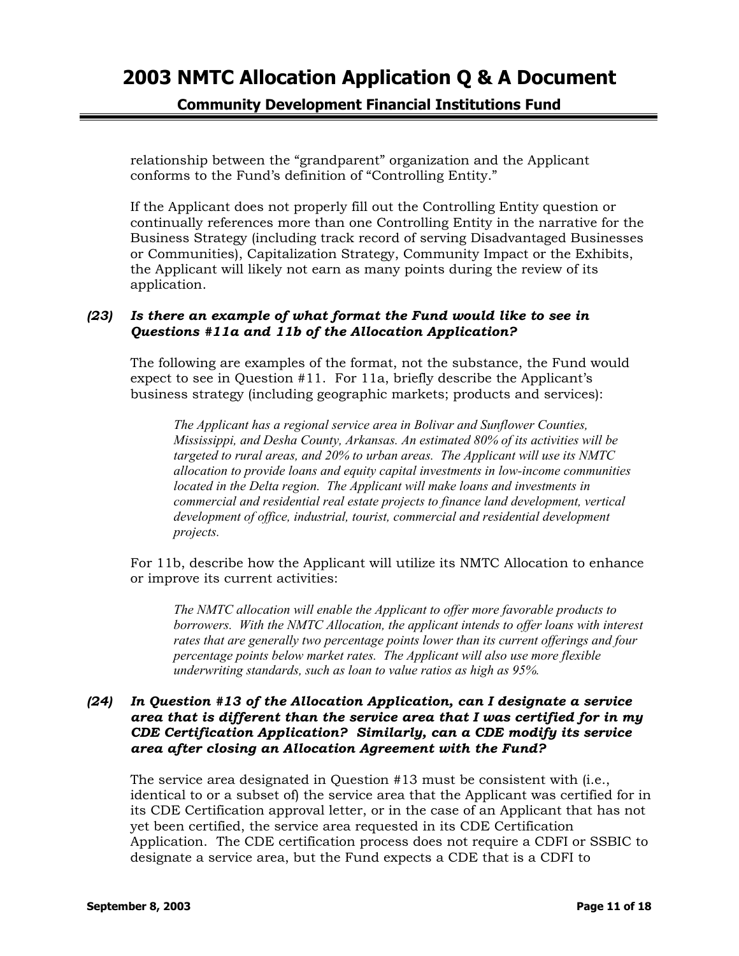**Community Development Financial Institutions Fund** 

relationship between the "grandparent" organization and the Applicant conforms to the Fund's definition of "Controlling Entity."

If the Applicant does not properly fill out the Controlling Entity question or continually references more than one Controlling Entity in the narrative for the Business Strategy (including track record of serving Disadvantaged Businesses or Communities), Capitalization Strategy, Community Impact or the Exhibits, the Applicant will likely not earn as many points during the review of its application.

### *(23) Is there an example of what format the Fund would like to see in Questions #11a and 11b of the Allocation Application?*

The following are examples of the format, not the substance, the Fund would expect to see in Question #11. For 11a, briefly describe the Applicant's business strategy (including geographic markets; products and services):

*The Applicant has a regional service area in Bolivar and Sunflower Counties, Mississippi, and Desha County, Arkansas. An estimated 80% of its activities will be targeted to rural areas, and 20% to urban areas. The Applicant will use its NMTC allocation to provide loans and equity capital investments in low-income communities located in the Delta region. The Applicant will make loans and investments in commercial and residential real estate projects to finance land development, vertical development of office, industrial, tourist, commercial and residential development projects.* 

For 11b, describe how the Applicant will utilize its NMTC Allocation to enhance or improve its current activities:

*The NMTC allocation will enable the Applicant to offer more favorable products to borrowers. With the NMTC Allocation, the applicant intends to offer loans with interest rates that are generally two percentage points lower than its current offerings and four percentage points below market rates. The Applicant will also use more flexible underwriting standards, such as loan to value ratios as high as 95%.*

### *(24) In Question #13 of the Allocation Application, can I designate a service area that is different than the service area that I was certified for in my CDE Certification Application? Similarly, can a CDE modify its service area after closing an Allocation Agreement with the Fund?*

The service area designated in Question #13 must be consistent with (i.e., identical to or a subset of) the service area that the Applicant was certified for in its CDE Certification approval letter, or in the case of an Applicant that has not yet been certified, the service area requested in its CDE Certification Application. The CDE certification process does not require a CDFI or SSBIC to designate a service area, but the Fund expects a CDE that is a CDFI to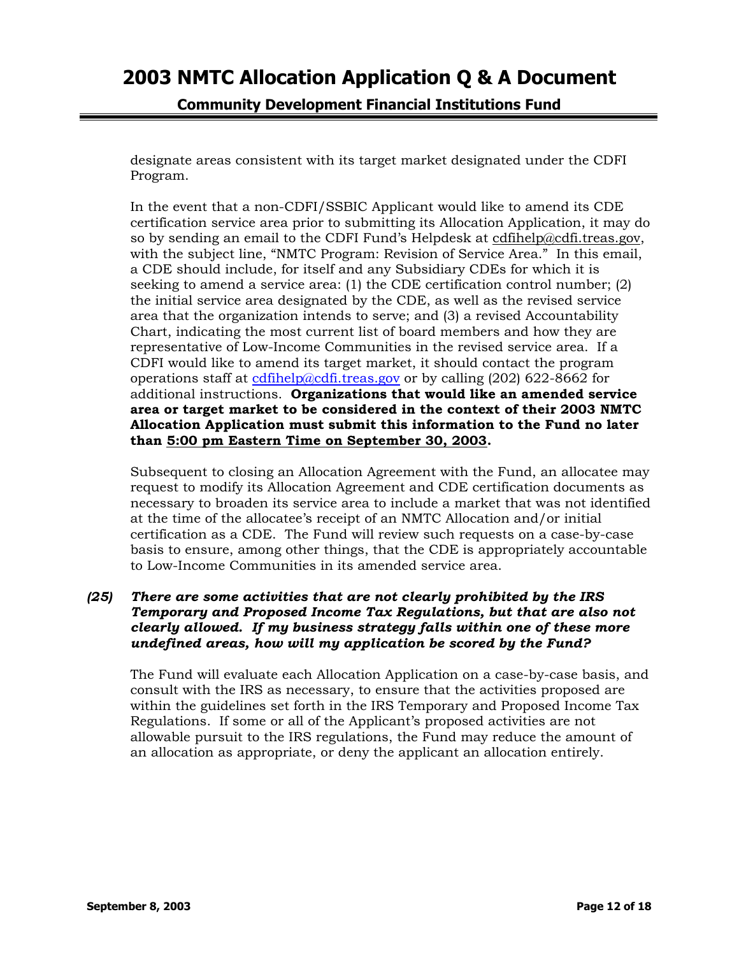**Community Development Financial Institutions Fund** 

designate areas consistent with its target market designated under the CDFI Program.

In the event that a non-CDFI/SSBIC Applicant would like to amend its CDE certification service area prior to submitting its Allocation Application, it may do so by sending an email to the CDFI Fund's Helpdesk at [cdfihelp@cdfi.treas.gov,](mailto:cdfihelp@cdfi.treas.gov) with the subject line, "NMTC Program: Revision of Service Area." In this email, a CDE should include, for itself and any Subsidiary CDEs for which it is seeking to amend a service area: (1) the CDE certification control number; (2) the initial service area designated by the CDE, as well as the revised service area that the organization intends to serve; and (3) a revised Accountability Chart, indicating the most current list of board members and how they are representative of Low-Income Communities in the revised service area. If a CDFI would like to amend its target market, it should contact the program operations staff at [cdfihelp@cdfi.treas.gov](mailto:cdfihelp@cdfi.treas.gov) or by calling  $(202)$  622-8662 for additional instructions. **Organizations that would like an amended service area or target market to be considered in the context of their 2003 NMTC Allocation Application must submit this information to the Fund no later than 5:00 pm Eastern Time on September 30, 2003.**

Subsequent to closing an Allocation Agreement with the Fund, an allocatee may request to modify its Allocation Agreement and CDE certification documents as necessary to broaden its service area to include a market that was not identified at the time of the allocatee's receipt of an NMTC Allocation and/or initial certification as a CDE. The Fund will review such requests on a case-by-case basis to ensure, among other things, that the CDE is appropriately accountable to Low-Income Communities in its amended service area.

## *(25) There are some activities that are not clearly prohibited by the IRS Temporary and Proposed Income Tax Regulations, but that are also not clearly allowed. If my business strategy falls within one of these more undefined areas, how will my application be scored by the Fund?*

The Fund will evaluate each Allocation Application on a case-by-case basis, and consult with the IRS as necessary, to ensure that the activities proposed are within the guidelines set forth in the IRS Temporary and Proposed Income Tax Regulations. If some or all of the Applicant's proposed activities are not allowable pursuit to the IRS regulations, the Fund may reduce the amount of an allocation as appropriate, or deny the applicant an allocation entirely.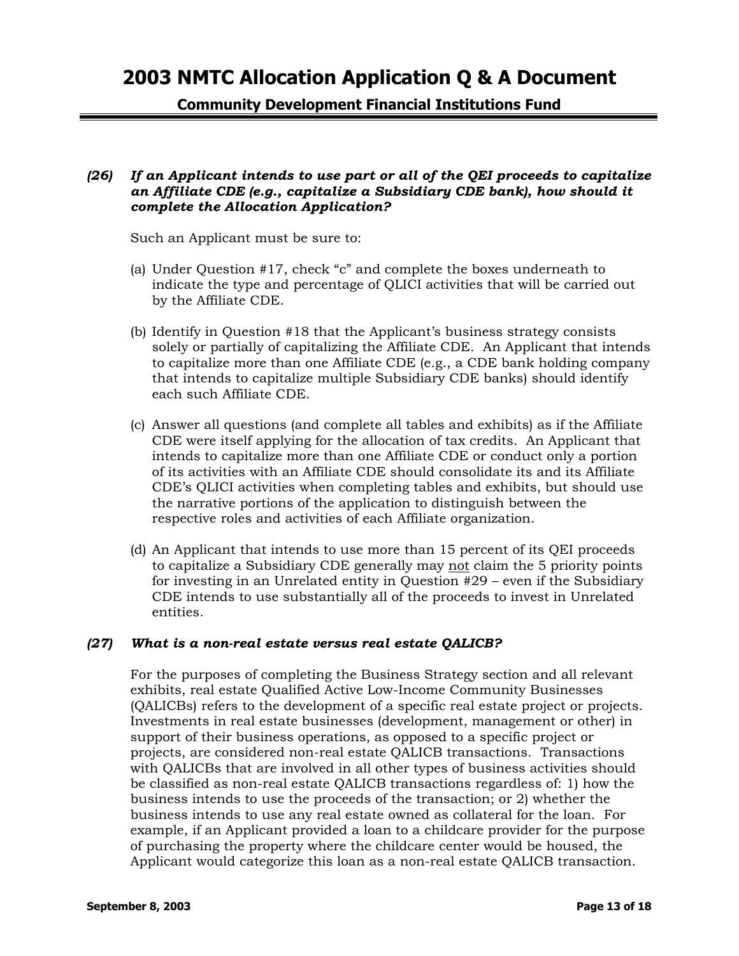**Community Development Financial Institutions Fund** 

### *(26) If an Applicant intends to use part or all of the QEI proceeds to capitalize an Affiliate CDE (e.g., capitalize a Subsidiary CDE bank), how should it complete the Allocation Application?*

Such an Applicant must be sure to:

- (a) Under Question #17, check "c" and complete the boxes underneath to indicate the type and percentage of QLICI activities that will be carried out by the Affiliate CDE.
- (b) Identify in Question #18 that the Applicant's business strategy consists solely or partially of capitalizing the Affiliate CDE. An Applicant that intends to capitalize more than one Affiliate CDE (e.g., a CDE bank holding company that intends to capitalize multiple Subsidiary CDE banks) should identify each such Affiliate CDE.
- (c) Answer all questions (and complete all tables and exhibits) as if the Affiliate CDE were itself applying for the allocation of tax credits. An Applicant that intends to capitalize more than one Affiliate CDE or conduct only a portion of its activities with an Affiliate CDE should consolidate its and its Affiliate CDE's QLICI activities when completing tables and exhibits, but should use the narrative portions of the application to distinguish between the respective roles and activities of each Affiliate organization.
- (d) An Applicant that intends to use more than 15 percent of its QEI proceeds to capitalize a Subsidiary CDE generally may not claim the 5 priority points for investing in an Unrelated entity in Question #29 – even if the Subsidiary CDE intends to use substantially all of the proceeds to invest in Unrelated entities.

### *(27) What is a non-real estate versus real estate QALICB?*

For the purposes of completing the Business Strategy section and all relevant exhibits, real estate Qualified Active Low-Income Community Businesses (QALICBs) refers to the development of a specific real estate project or projects. Investments in real estate businesses (development, management or other) in support of their business operations, as opposed to a specific project or projects, are considered non-real estate QALICB transactions. Transactions with QALICBs that are involved in all other types of business activities should be classified as non-real estate QALICB transactions regardless of: 1) how the business intends to use the proceeds of the transaction; or 2) whether the business intends to use any real estate owned as collateral for the loan. For example, if an Applicant provided a loan to a childcare provider for the purpose of purchasing the property where the childcare center would be housed, the Applicant would categorize this loan as a non-real estate QALICB transaction.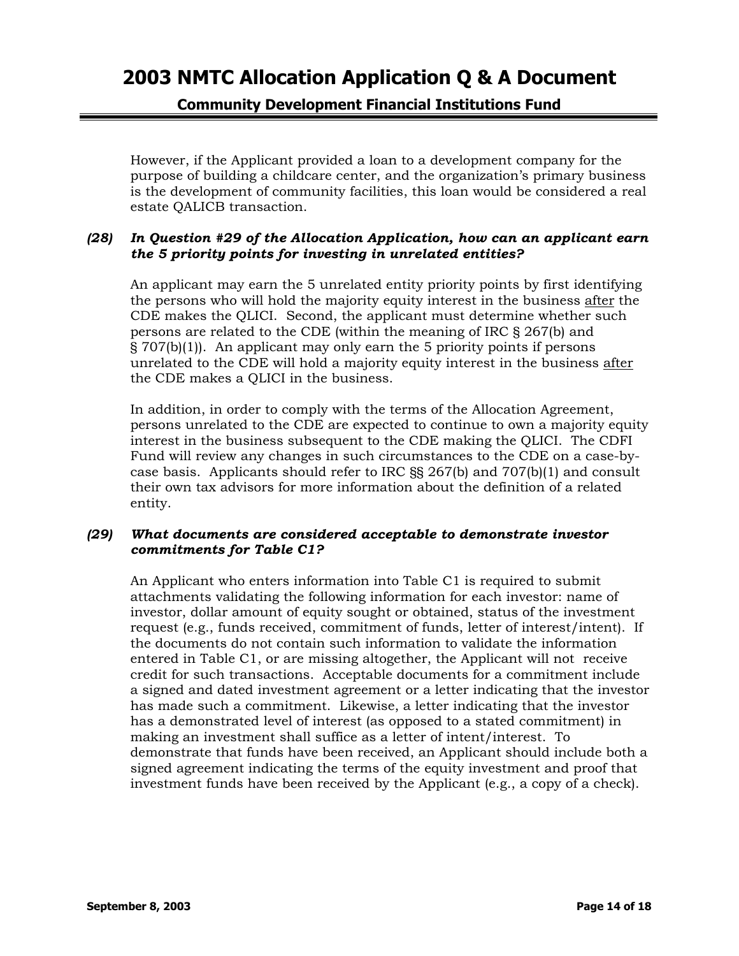# **Community Development Financial Institutions Fund**

However, if the Applicant provided a loan to a development company for the purpose of building a childcare center, and the organization's primary business is the development of community facilities, this loan would be considered a real estate QALICB transaction.

#### *(28) In Question #29 of the Allocation Application, how can an applicant earn the 5 priority points for investing in unrelated entities?*

An applicant may earn the 5 unrelated entity priority points by first identifying the persons who will hold the majority equity interest in the business after the CDE makes the QLICI. Second, the applicant must determine whether such persons are related to the CDE (within the meaning of IRC § 267(b) and § 707(b)(1)). An applicant may only earn the 5 priority points if persons unrelated to the CDE will hold a majority equity interest in the business after the CDE makes a QLICI in the business.

In addition, in order to comply with the terms of the Allocation Agreement, persons unrelated to the CDE are expected to continue to own a majority equity interest in the business subsequent to the CDE making the QLICI. The CDFI Fund will review any changes in such circumstances to the CDE on a case-bycase basis. Applicants should refer to IRC §§ 267(b) and 707(b)(1) and consult their own tax advisors for more information about the definition of a related entity.

### *(29) What documents are considered acceptable to demonstrate investor commitments for Table C1?*

An Applicant who enters information into Table C1 is required to submit attachments validating the following information for each investor: name of investor, dollar amount of equity sought or obtained, status of the investment request (e.g., funds received, commitment of funds, letter of interest/intent). If the documents do not contain such information to validate the information entered in Table C1, or are missing altogether, the Applicant will not receive credit for such transactions. Acceptable documents for a commitment include a signed and dated investment agreement or a letter indicating that the investor has made such a commitment. Likewise, a letter indicating that the investor has a demonstrated level of interest (as opposed to a stated commitment) in making an investment shall suffice as a letter of intent/interest. To demonstrate that funds have been received, an Applicant should include both a signed agreement indicating the terms of the equity investment and proof that investment funds have been received by the Applicant (e.g., a copy of a check).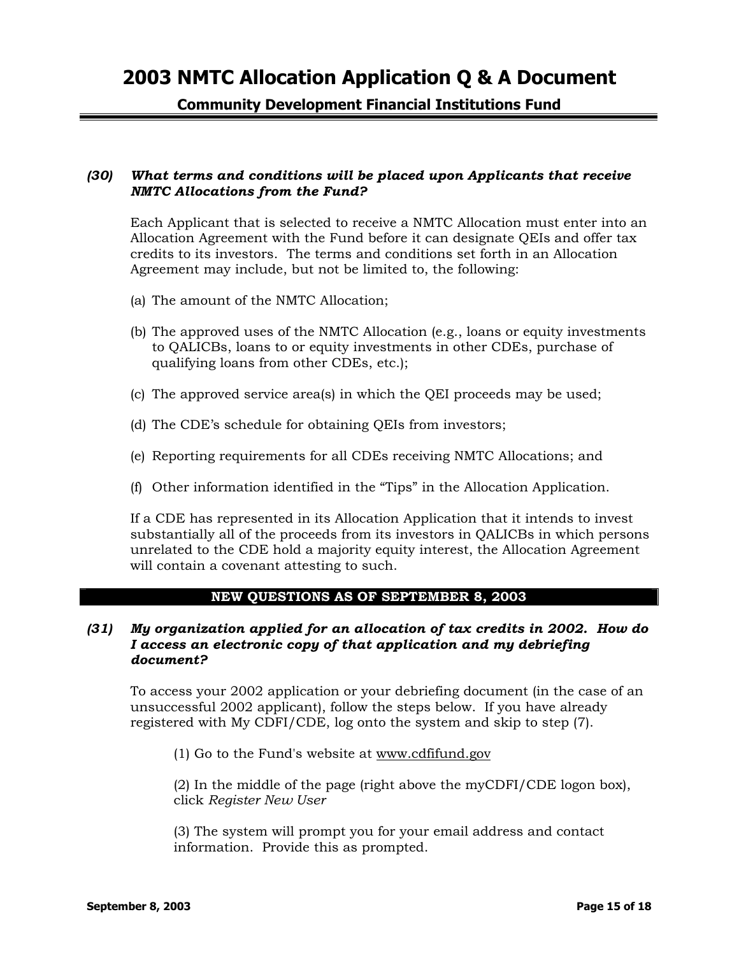**Community Development Financial Institutions Fund** 

### *(30) What terms and conditions will be placed upon Applicants that receive NMTC Allocations from the Fund?*

Each Applicant that is selected to receive a NMTC Allocation must enter into an Allocation Agreement with the Fund before it can designate QEIs and offer tax credits to its investors. The terms and conditions set forth in an Allocation Agreement may include, but not be limited to, the following:

- (a) The amount of the NMTC Allocation;
- (b) The approved uses of the NMTC Allocation (e.g., loans or equity investments to QALICBs, loans to or equity investments in other CDEs, purchase of qualifying loans from other CDEs, etc.);
- (c) The approved service area(s) in which the QEI proceeds may be used;
- (d) The CDE's schedule for obtaining QEIs from investors;
- (e) Reporting requirements for all CDEs receiving NMTC Allocations; and
- (f) Other information identified in the "Tips" in the Allocation Application.

If a CDE has represented in its Allocation Application that it intends to invest substantially all of the proceeds from its investors in QALICBs in which persons unrelated to the CDE hold a majority equity interest, the Allocation Agreement will contain a covenant attesting to such.

#### **NEW QUESTIONS AS OF SEPTEMBER 8, 2003**

#### *(31) My organization applied for an allocation of tax credits in 2002. How do I access an electronic copy of that application and my debriefing document?*

To access your 2002 application or your debriefing document (in the case of an unsuccessful 2002 applicant), follow the steps below. If you have already registered with My CDFI/CDE, log onto the system and skip to step (7).

(1) Go to the Fund's website at [www.cdfifund.gov](http://www.cdfifund.gov/)

(2) In the middle of the page (right above the myCDFI/CDE logon box), click *Register New User*

(3) The system will prompt you for your email address and contact information. Provide this as prompted.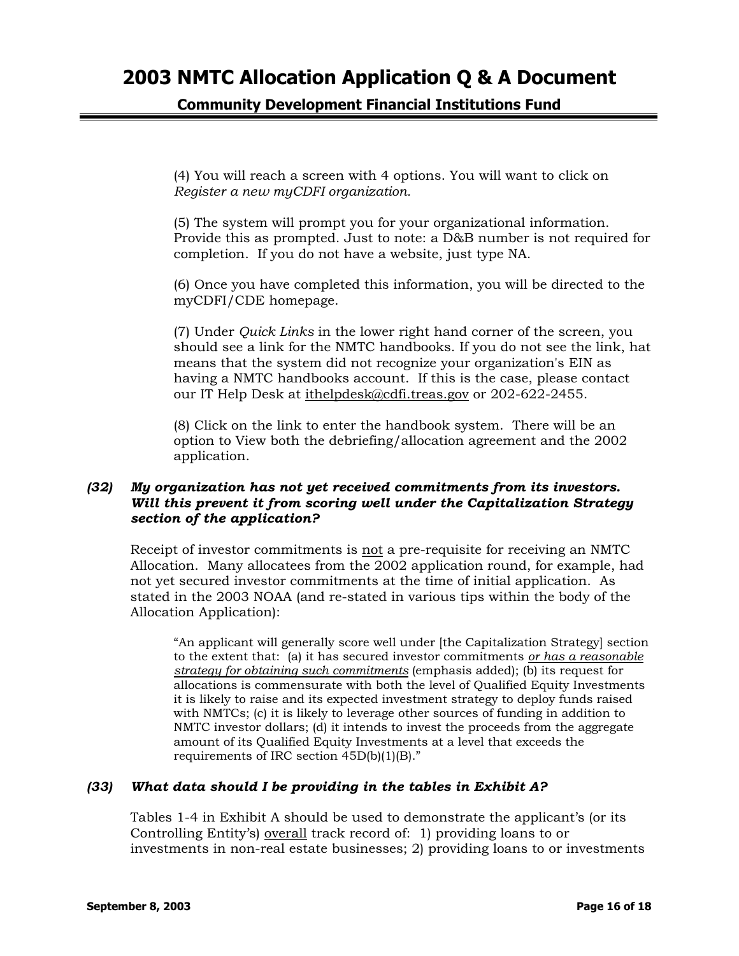# **Community Development Financial Institutions Fund**

(4) You will reach a screen with 4 options. You will want to click on *Register a new myCDFI organization.*

(5) The system will prompt you for your organizational information. Provide this as prompted. Just to note: a D&B number is not required for completion. If you do not have a website, just type NA.

(6) Once you have completed this information, you will be directed to the myCDFI/CDE homepage.

(7) Under *Quick Links* in the lower right hand corner of the screen, you should see a link for the NMTC handbooks. If you do not see the link, hat means that the system did not recognize your organization's EIN as having a NMTC handbooks account. If this is the case, please contact our IT Help Desk at [ithelpdesk@cdfi.treas.gov](mailto:ithelpdesk@cdfi.treas.gov) or 202-622-2455.

(8) Click on the link to enter the handbook system. There will be an option to View both the debriefing/allocation agreement and the 2002 application.

### *(32) My organization has not yet received commitments from its investors. Will this prevent it from scoring well under the Capitalization Strategy section of the application?*

Receipt of investor commitments is not a pre-requisite for receiving an NMTC Allocation. Many allocatees from the 2002 application round, for example, had not yet secured investor commitments at the time of initial application. As stated in the 2003 NOAA (and re-stated in various tips within the body of the Allocation Application):

"An applicant will generally score well under [the Capitalization Strategy] section to the extent that: (a) it has secured investor commitments *or has a reasonable strategy for obtaining such commitments* (emphasis added); (b) its request for allocations is commensurate with both the level of Qualified Equity Investments it is likely to raise and its expected investment strategy to deploy funds raised with NMTCs; (c) it is likely to leverage other sources of funding in addition to NMTC investor dollars; (d) it intends to invest the proceeds from the aggregate amount of its Qualified Equity Investments at a level that exceeds the requirements of IRC section 45D(b)(1)(B)."

### *(33) What data should I be providing in the tables in Exhibit A?*

Tables 1-4 in Exhibit A should be used to demonstrate the applicant's (or its Controlling Entity's) overall track record of: 1) providing loans to or investments in non-real estate businesses; 2) providing loans to or investments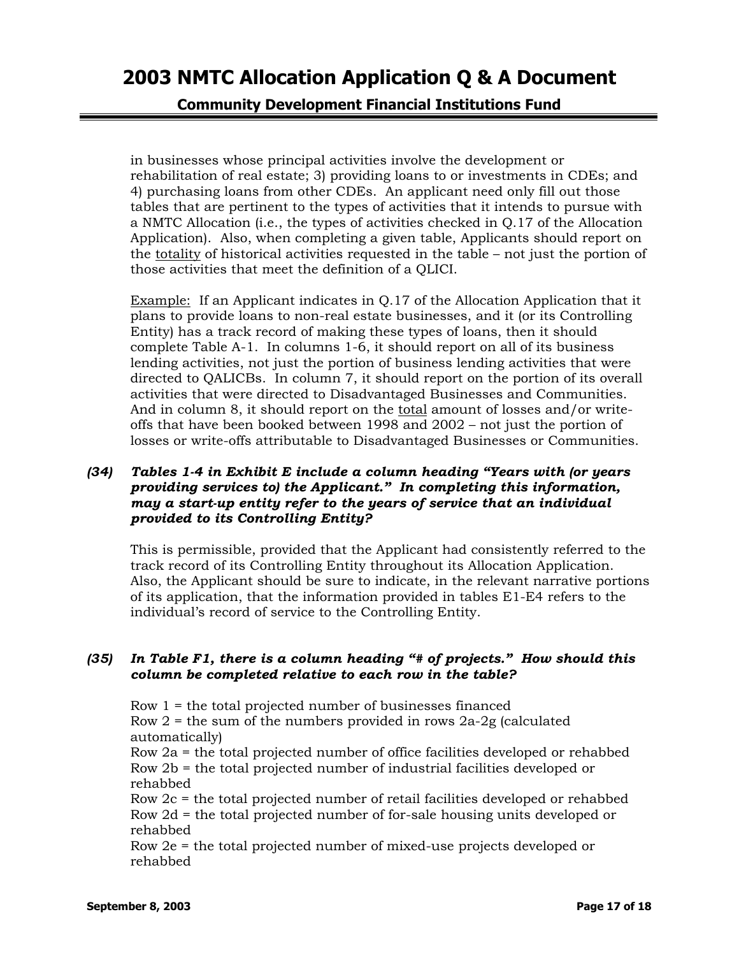**Community Development Financial Institutions Fund** 

in businesses whose principal activities involve the development or rehabilitation of real estate; 3) providing loans to or investments in CDEs; and 4) purchasing loans from other CDEs. An applicant need only fill out those tables that are pertinent to the types of activities that it intends to pursue with a NMTC Allocation (i.e., the types of activities checked in Q.17 of the Allocation Application). Also, when completing a given table, Applicants should report on the totality of historical activities requested in the table – not just the portion of those activities that meet the definition of a QLICI.

Example: If an Applicant indicates in Q.17 of the Allocation Application that it plans to provide loans to non-real estate businesses, and it (or its Controlling Entity) has a track record of making these types of loans, then it should complete Table A-1. In columns 1-6, it should report on all of its business lending activities, not just the portion of business lending activities that were directed to QALICBs. In column 7, it should report on the portion of its overall activities that were directed to Disadvantaged Businesses and Communities. And in column 8, it should report on the total amount of losses and/or writeoffs that have been booked between 1998 and 2002 – not just the portion of losses or write-offs attributable to Disadvantaged Businesses or Communities.

## *(34) Tables 1-4 in Exhibit E include a column heading "Years with (or years providing services to) the Applicant." In completing this information, may a start-up entity refer to the years of service that an individual provided to its Controlling Entity?*

This is permissible, provided that the Applicant had consistently referred to the track record of its Controlling Entity throughout its Allocation Application. Also, the Applicant should be sure to indicate, in the relevant narrative portions of its application, that the information provided in tables E1-E4 refers to the individual's record of service to the Controlling Entity.

### *(35) In Table F1, there is a column heading "# of projects." How should this column be completed relative to each row in the table?*

Row 1 = the total projected number of businesses financed Row  $2$  = the sum of the numbers provided in rows  $2a-2g$  (calculated automatically) Row 2a = the total projected number of office facilities developed or rehabbed Row 2b = the total projected number of industrial facilities developed or rehabbed Row 2c = the total projected number of retail facilities developed or rehabbed Row 2d = the total projected number of for-sale housing units developed or rehabbed

Row 2e = the total projected number of mixed-use projects developed or rehabbed